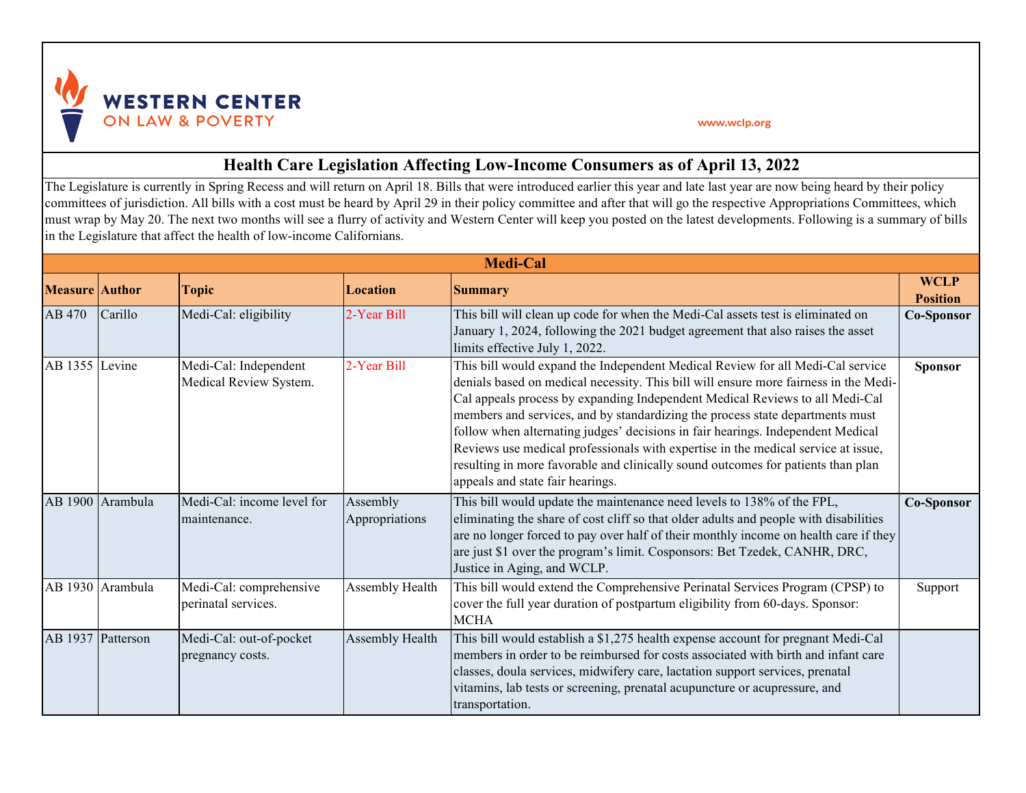

## www.wclp.org

## **Health Care Legislation Affecting Low-Income Consumers as of April 13, 2022**

The Legislature is currently in Spring Recess and will return on April 18. Bills that were introduced earlier this year and late last year are now being heard by their policy committees of jurisdiction. All bills with a cost must be heard by April 29 in their policy committee and after that will go the respective Appropriations Committees, which must wrap by May 20. The next two months will see a flurry of activity and Western Center will keep you posted on the latest developments. Following is a summary of bills in the Legislature that affect the health of low-income Californians.

| <b>Medi-Cal</b>       |                  |                                                 |                            |                                                                                                                                                                                                                                                                                                                                                                                                                                                                                                                                                                                                                                         |                                |
|-----------------------|------------------|-------------------------------------------------|----------------------------|-----------------------------------------------------------------------------------------------------------------------------------------------------------------------------------------------------------------------------------------------------------------------------------------------------------------------------------------------------------------------------------------------------------------------------------------------------------------------------------------------------------------------------------------------------------------------------------------------------------------------------------------|--------------------------------|
| <b>Measure Author</b> |                  | <b>Topic</b>                                    | <b>Location</b>            | <b>Summary</b>                                                                                                                                                                                                                                                                                                                                                                                                                                                                                                                                                                                                                          | <b>WCLP</b><br><b>Position</b> |
| AB 470                | Carillo          | Medi-Cal: eligibility                           | 2-Year Bill                | This bill will clean up code for when the Medi-Cal assets test is eliminated on<br>January 1, 2024, following the 2021 budget agreement that also raises the asset<br>limits effective July 1, 2022.                                                                                                                                                                                                                                                                                                                                                                                                                                    | <b>Co-Sponsor</b>              |
| AB 1355 Levine        |                  | Medi-Cal: Independent<br>Medical Review System. | 2-Year Bill                | This bill would expand the Independent Medical Review for all Medi-Cal service<br>denials based on medical necessity. This bill will ensure more fairness in the Medi-<br>Cal appeals process by expanding Independent Medical Reviews to all Medi-Cal<br>members and services, and by standardizing the process state departments must<br>follow when alternating judges' decisions in fair hearings. Independent Medical<br>Reviews use medical professionals with expertise in the medical service at issue,<br>resulting in more favorable and clinically sound outcomes for patients than plan<br>appeals and state fair hearings. | <b>Sponsor</b>                 |
|                       | AB 1900 Arambula | Medi-Cal: income level for<br>maintenance.      | Assembly<br>Appropriations | This bill would update the maintenance need levels to 138% of the FPL,<br>eliminating the share of cost cliff so that older adults and people with disabilities<br>are no longer forced to pay over half of their monthly income on health care if they<br>are just \$1 over the program's limit. Cosponsors: Bet Tzedek, CANHR, DRC,<br>Justice in Aging, and WCLP.                                                                                                                                                                                                                                                                    | Co-Sponsor                     |
|                       | AB 1930 Arambula | Medi-Cal: comprehensive<br>perinatal services.  | Assembly Health            | This bill would extend the Comprehensive Perinatal Services Program (CPSP) to<br>cover the full year duration of postpartum eligibility from 60-days. Sponsor:<br><b>MCHA</b>                                                                                                                                                                                                                                                                                                                                                                                                                                                           | Support                        |
| AB 1937 Patterson     |                  | Medi-Cal: out-of-pocket<br>pregnancy costs.     | Assembly Health            | This bill would establish a \$1,275 health expense account for pregnant Medi-Cal<br>members in order to be reimbursed for costs associated with birth and infant care<br>classes, doula services, midwifery care, lactation support services, prenatal<br>vitamins, lab tests or screening, prenatal acupuncture or acupressure, and<br>transportation.                                                                                                                                                                                                                                                                                 |                                |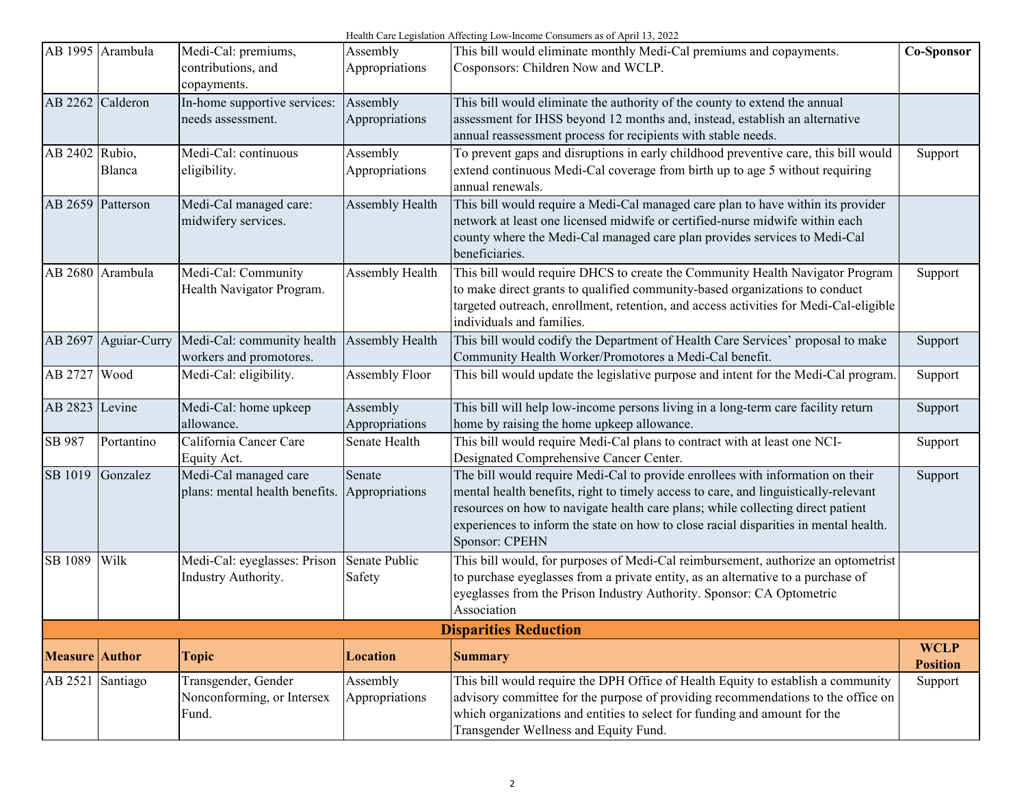|  | Health Care Legislation Affecting Low-Income Consumers as of April 13, 2022 |  |
|--|-----------------------------------------------------------------------------|--|
|--|-----------------------------------------------------------------------------|--|

|                       |                  |                                                                        |                            | $\mu$ reature are legislation Affecting Low-income Consumers as 01 April 15, 2022                                                                                                                                                                                                                                                                                         |                                |
|-----------------------|------------------|------------------------------------------------------------------------|----------------------------|---------------------------------------------------------------------------------------------------------------------------------------------------------------------------------------------------------------------------------------------------------------------------------------------------------------------------------------------------------------------------|--------------------------------|
|                       | AB 1995 Arambula | Medi-Cal: premiums,<br>contributions, and<br>copayments.               | Assembly<br>Appropriations | This bill would eliminate monthly Medi-Cal premiums and copayments.<br>Cosponsors: Children Now and WCLP.                                                                                                                                                                                                                                                                 | Co-Sponsor                     |
| AB 2262               | Calderon         | In-home supportive services:<br>needs assessment.                      | Assembly<br>Appropriations | This bill would eliminate the authority of the county to extend the annual<br>assessment for IHSS beyond 12 months and, instead, establish an alternative<br>annual reassessment process for recipients with stable needs.                                                                                                                                                |                                |
| AB 2402 Rubio,        | Blanca           | Medi-Cal: continuous<br>eligibility.                                   | Assembly<br>Appropriations | To prevent gaps and disruptions in early childhood preventive care, this bill would<br>extend continuous Medi-Cal coverage from birth up to age 5 without requiring<br>annual renewals.                                                                                                                                                                                   | Support                        |
| AB 2659 Patterson     |                  | Medi-Cal managed care:<br>midwifery services.                          | Assembly Health            | This bill would require a Medi-Cal managed care plan to have within its provider<br>network at least one licensed midwife or certified-nurse midwife within each<br>county where the Medi-Cal managed care plan provides services to Medi-Cal<br>beneficiaries.                                                                                                           |                                |
|                       | AB 2680 Arambula | Medi-Cal: Community<br>Health Navigator Program.                       | Assembly Health            | This bill would require DHCS to create the Community Health Navigator Program<br>to make direct grants to qualified community-based organizations to conduct<br>targeted outreach, enrollment, retention, and access activities for Medi-Cal-eligible<br>individuals and families.                                                                                        | Support                        |
| AB 2697               | Aguiar-Curry     | Medi-Cal: community health<br>workers and promotores.                  | Assembly Health            | This bill would codify the Department of Health Care Services' proposal to make<br>Community Health Worker/Promotores a Medi-Cal benefit.                                                                                                                                                                                                                                 | Support                        |
| AB 2727               | Wood             | Medi-Cal: eligibility.                                                 | Assembly Floor             | This bill would update the legislative purpose and intent for the Medi-Cal program.                                                                                                                                                                                                                                                                                       | Support                        |
| AB 2823               | Levine           | Medi-Cal: home upkeep<br>allowance.                                    | Assembly<br>Appropriations | This bill will help low-income persons living in a long-term care facility return<br>home by raising the home upkeep allowance.                                                                                                                                                                                                                                           | Support                        |
| SB 987                | Portantino       | California Cancer Care<br>Equity Act.                                  | Senate Health              | This bill would require Medi-Cal plans to contract with at least one NCI-<br>Designated Comprehensive Cancer Center.                                                                                                                                                                                                                                                      | Support                        |
| SB 1019               | Gonzalez         | Medi-Cal managed care<br>plans: mental health benefits. Appropriations | Senate                     | The bill would require Medi-Cal to provide enrollees with information on their<br>mental health benefits, right to timely access to care, and linguistically-relevant<br>resources on how to navigate health care plans; while collecting direct patient<br>experiences to inform the state on how to close racial disparities in mental health.<br><b>Sponsor: CPEHN</b> | Support                        |
| SB 1089               | Wilk             | Medi-Cal: eyeglasses: Prison Senate Public<br>Industry Authority.      | Safety                     | This bill would, for purposes of Medi-Cal reimbursement, authorize an optometrist<br>to purchase eyeglasses from a private entity, as an alternative to a purchase of<br>eyeglasses from the Prison Industry Authority. Sponsor: CA Optometric<br>Association                                                                                                             |                                |
|                       |                  |                                                                        |                            | <b>Disparities Reduction</b>                                                                                                                                                                                                                                                                                                                                              |                                |
| <b>Measure</b> Author |                  | <b>Topic</b>                                                           | <b>Location</b>            | <b>Summary</b>                                                                                                                                                                                                                                                                                                                                                            | <b>WCLP</b><br><b>Position</b> |
| AB 2521               | Santiago         | Transgender, Gender<br>Nonconforming, or Intersex<br>Fund.             | Assembly<br>Appropriations | This bill would require the DPH Office of Health Equity to establish a community<br>advisory committee for the purpose of providing recommendations to the office on<br>which organizations and entities to select for funding and amount for the<br>Transgender Wellness and Equity Fund.                                                                                | Support                        |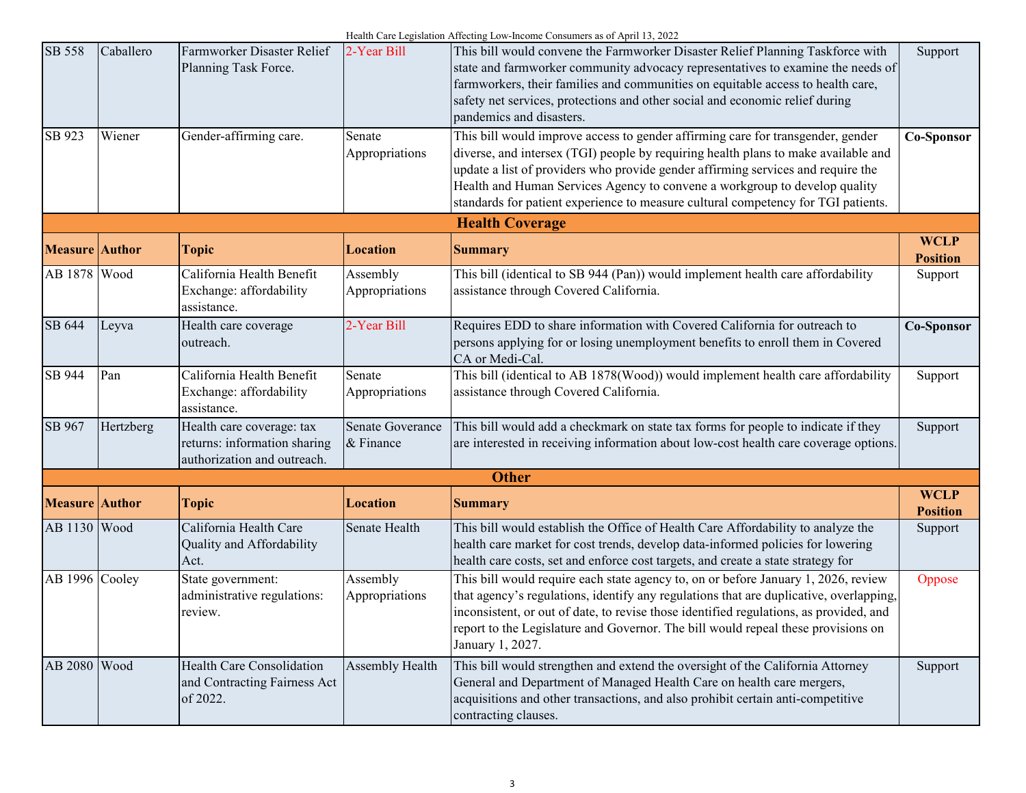| SB 558                | Caballero | Farmworker Disaster Relief       | 2-Year Bill      | This bill would convene the Farmworker Disaster Relief Planning Taskforce with         | Support           |
|-----------------------|-----------|----------------------------------|------------------|----------------------------------------------------------------------------------------|-------------------|
|                       |           | Planning Task Force.             |                  | state and farmworker community advocacy representatives to examine the needs of        |                   |
|                       |           |                                  |                  | farmworkers, their families and communities on equitable access to health care,        |                   |
|                       |           |                                  |                  | safety net services, protections and other social and economic relief during           |                   |
|                       |           |                                  |                  |                                                                                        |                   |
|                       |           |                                  |                  | pandemics and disasters.                                                               |                   |
| SB 923                | Wiener    | Gender-affirming care.           | Senate           | This bill would improve access to gender affirming care for transgender, gender        | Co-Sponsor        |
|                       |           |                                  | Appropriations   | diverse, and intersex (TGI) people by requiring health plans to make available and     |                   |
|                       |           |                                  |                  | update a list of providers who provide gender affirming services and require the       |                   |
|                       |           |                                  |                  |                                                                                        |                   |
|                       |           |                                  |                  | Health and Human Services Agency to convene a workgroup to develop quality             |                   |
|                       |           |                                  |                  | standards for patient experience to measure cultural competency for TGI patients.      |                   |
|                       |           |                                  |                  | <b>Health Coverage</b>                                                                 |                   |
| <b>Measure Author</b> |           | <b>Topic</b>                     | <b>Location</b>  | <b>Summary</b>                                                                         | <b>WCLP</b>       |
|                       |           |                                  |                  |                                                                                        | <b>Position</b>   |
| AB 1878               | Wood      | California Health Benefit        | Assembly         | This bill (identical to SB 944 (Pan)) would implement health care affordability        | Support           |
|                       |           | Exchange: affordability          | Appropriations   | assistance through Covered California.                                                 |                   |
|                       |           | assistance.                      |                  |                                                                                        |                   |
| SB 644                |           |                                  |                  |                                                                                        |                   |
|                       | Leyva     | Health care coverage             | 2-Year Bill      | Requires EDD to share information with Covered California for outreach to              | <b>Co-Sponsor</b> |
|                       |           | outreach.                        |                  | persons applying for or losing unemployment benefits to enroll them in Covered         |                   |
|                       |           |                                  |                  | CA or Medi-Cal.                                                                        |                   |
| SB 944                | Pan       | California Health Benefit        | Senate           | This bill (identical to AB 1878(Wood)) would implement health care affordability       | Support           |
|                       |           | Exchange: affordability          | Appropriations   | assistance through Covered California.                                                 |                   |
|                       |           | assistance.                      |                  |                                                                                        |                   |
| SB 967                | Hertzberg | Health care coverage: tax        | Senate Goverance | This bill would add a checkmark on state tax forms for people to indicate if they      | Support           |
|                       |           |                                  | $&$ Finance      |                                                                                        |                   |
|                       |           | returns: information sharing     |                  | are interested in receiving information about low-cost health care coverage options.   |                   |
|                       |           | authorization and outreach.      |                  |                                                                                        |                   |
|                       |           |                                  |                  | <b>Other</b>                                                                           |                   |
|                       |           |                                  |                  |                                                                                        | <b>WCLP</b>       |
| <b>Measure Author</b> |           | <b>Topic</b>                     | <b>Location</b>  | <b>Summary</b>                                                                         | <b>Position</b>   |
| AB 1130 Wood          |           | California Health Care           | Senate Health    | This bill would establish the Office of Health Care Affordability to analyze the       | Support           |
|                       |           | Quality and Affordability        |                  | health care market for cost trends, develop data-informed policies for lowering        |                   |
|                       |           | Act.                             |                  | health care costs, set and enforce cost targets, and create a state strategy for       |                   |
|                       |           |                                  |                  |                                                                                        |                   |
| AB 1996 Cooley        |           | State government:                | Assembly         | This bill would require each state agency to, on or before January 1, 2026, review     | Oppose            |
|                       |           | administrative regulations:      | Appropriations   | that agency's regulations, identify any regulations that are duplicative, overlapping, |                   |
|                       |           | review.                          |                  | inconsistent, or out of date, to revise those identified regulations, as provided, and |                   |
|                       |           |                                  |                  | report to the Legislature and Governor. The bill would repeal these provisions on      |                   |
|                       |           |                                  |                  | January 1, 2027.                                                                       |                   |
|                       |           |                                  |                  |                                                                                        |                   |
| AB 2080 Wood          |           | <b>Health Care Consolidation</b> | Assembly Health  | This bill would strengthen and extend the oversight of the California Attorney         | Support           |
|                       |           | and Contracting Fairness Act     |                  | General and Department of Managed Health Care on health care mergers,                  |                   |
|                       |           | of 2022.                         |                  | acquisitions and other transactions, and also prohibit certain anti-competitive        |                   |
|                       |           |                                  |                  | contracting clauses.                                                                   |                   |